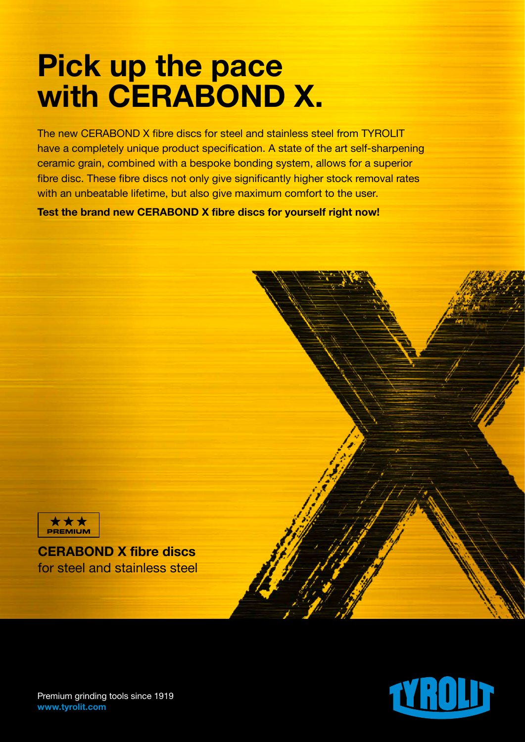## Pick up the pace with CERABOND X.

The new CERABOND X fibre discs for steel and stainless steel from TYROLIT have a completely unique product specification. A state of the art self-sharpening ceramic grain, combined with a bespoke bonding system, allows for a superior fibre disc. These fibre discs not only give significantly higher stock removal rates with an unbeatable lifetime, but also give maximum comfort to the user.

Test the brand new CERABOND X fibre discs for yourself right now!



CERABOND X fibre discs for steel and stainless steel



Premium grinding tools since 1919 www.tyrolit.com